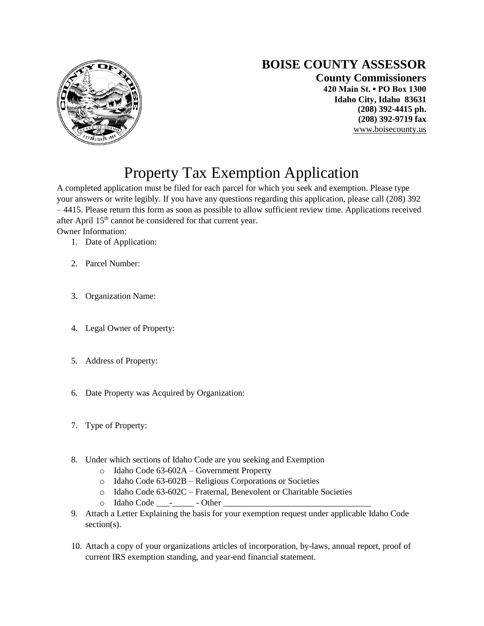

## **BOISE COUNTY ASSESSOR**

**County Commissioners 420 Main St. ▪ PO Box 1300 Idaho City, Idaho 83631 (208) 392-4415 ph. (208) 392-9719 fax** [www.boisecounty.us](http://www.co.boise.id.us/)

## Property Tax Exemption Application

A completed application must be filed for each parcel for which you seek and exemption. Please type your answers or write legibly. If you have any questions regarding this application, please call (208) 392 – 4415. Please return this form as soon as possible to allow sufficient review time. Applications received after April 15<sup>th</sup> cannot be considered for that current year.

Owner Information:

- 1. Date of Application:
- 2. Parcel Number:
- 3. Organization Name:
- 4. Legal Owner of Property:
- 5. Address of Property:
- 6. Date Property was Acquired by Organization:
- 7. Type of Property:
- 8. Under which sections of Idaho Code are you seeking and Exemption
	- o Idaho Code 63-602A Government Property
	- o Idaho Code 63-602B Religious Corporations or Societies
	- o Idaho Code 63-602C Fraternal, Benevolent or Charitable Societies
	- o Idaho Code \_\_\_-\_\_\_\_\_ Other \_\_\_\_\_\_\_\_\_\_\_\_\_\_\_\_\_\_\_\_\_\_\_\_\_\_\_\_\_\_\_\_\_\_
- 9. Attach a Letter Explaining the basis for your exemption request under applicable Idaho Code section(s).
- 10. Attach a copy of your organizations articles of incorporation, by-laws, annual report, proof of current IRS exemption standing, and year-end financial statement.